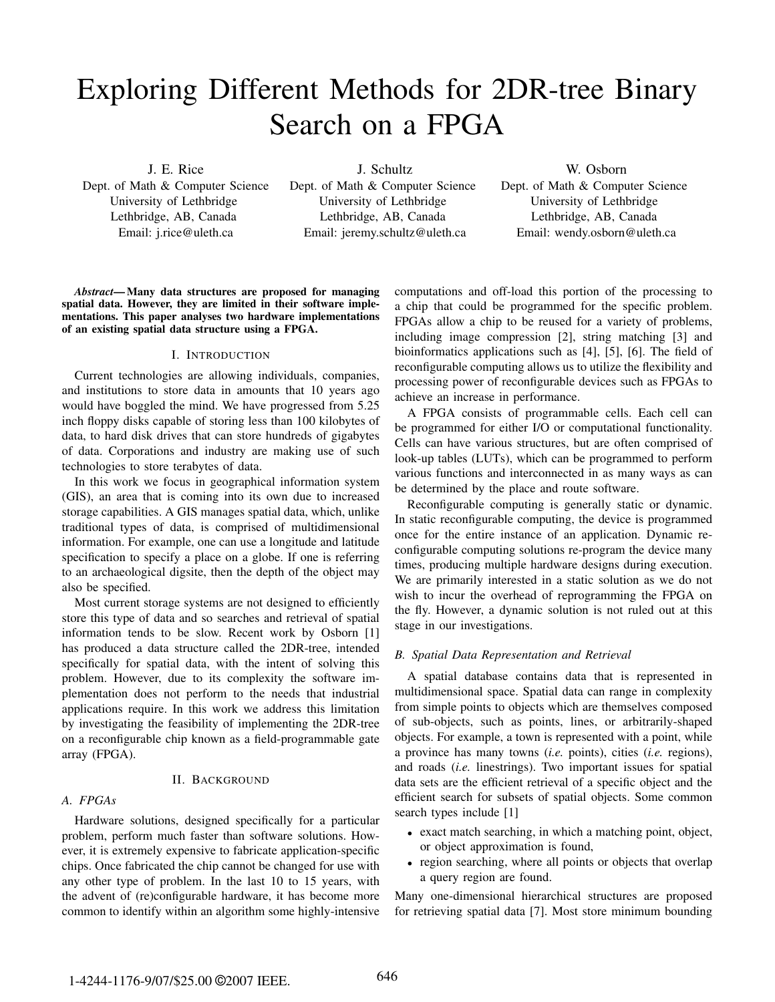# Exploring Different Methods for 2DR-tree Binary Search on a FPGA

J. E. Rice

Dept. of Math & Computer Science University of Lethbridge Lethbridge, AB, Canada Email: j.rice@uleth.ca

J. Schultz Dept. of Math & Computer Science University of Lethbridge Lethbridge, AB, Canada Email: jeremy.schultz@uleth.ca

W. Osborn Dept. of Math & Computer Science University of Lethbridge Lethbridge, AB, Canada Email: wendy.osborn@uleth.ca

*Abstract*— Many data structures are proposed for managing spatial data. However, they are limited in their software implementations. This paper analyses two hardware implementations of an existing spatial data structure using a FPGA.

## I. INTRODUCTION

Current technologies are allowing individuals, companies, and institutions to store data in amounts that 10 years ago would have boggled the mind. We have progressed from 5.25 inch floppy disks capable of storing less than 100 kilobytes of data, to hard disk drives that can store hundreds of gigabytes of data. Corporations and industry are making use of such technologies to store terabytes of data.

In this work we focus in geographical information system (GIS), an area that is coming into its own due to increased storage capabilities. A GIS manages spatial data, which, unlike traditional types of data, is comprised of multidimensional information. For example, one can use a longitude and latitude specification to specify a place on a globe. If one is referring to an archaeological digsite, then the depth of the object may also be specified.

Most current storage systems are not designed to efficiently store this type of data and so searches and retrieval of spatial information tends to be slow. Recent work by Osborn [1] has produced a data structure called the 2DR-tree, intended specifically for spatial data, with the intent of solving this problem. However, due to its complexity the software implementation does not perform to the needs that industrial applications require. In this work we address this limitation by investigating the feasibility of implementing the 2DR-tree on a reconfigurable chip known as a field-programmable gate array (FPGA).

## II. BACKGROUND

## *A. FPGAs*

Hardware solutions, designed specifically for a particular problem, perform much faster than software solutions. However, it is extremely expensive to fabricate application-specific chips. Once fabricated the chip cannot be changed for use with any other type of problem. In the last 10 to 15 years, with the advent of (re)configurable hardware, it has become more common to identify within an algorithm some highly-intensive

computations and off-load this portion of the processing to a chip that could be programmed for the specific problem. FPGAs allow a chip to be reused for a variety of problems, including image compression [2], string matching [3] and bioinformatics applications such as [4], [5], [6]. The field of reconfigurable computing allows us to utilize the flexibility and processing power of reconfigurable devices such as FPGAs to achieve an increase in performance.

A FPGA consists of programmable cells. Each cell can be programmed for either I/O or computational functionality. Cells can have various structures, but are often comprised of look-up tables (LUTs), which can be programmed to perform various functions and interconnected in as many ways as can be determined by the place and route software.

Reconfigurable computing is generally static or dynamic. In static reconfigurable computing, the device is programmed once for the entire instance of an application. Dynamic reconfigurable computing solutions re-program the device many times, producing multiple hardware designs during execution. We are primarily interested in a static solution as we do not wish to incur the overhead of reprogramming the FPGA on the fly. However, a dynamic solution is not ruled out at this stage in our investigations.

## *B. Spatial Data Representation and Retrieval*

A spatial database contains data that is represented in multidimensional space. Spatial data can range in complexity from simple points to objects which are themselves composed of sub-objects, such as points, lines, or arbitrarily-shaped objects. For example, a town is represented with a point, while a province has many towns (*i.e.* points), cities (*i.e.* regions), and roads (*i.e.* linestrings). Two important issues for spatial data sets are the efficient retrieval of a specific object and the efficient search for subsets of spatial objects. Some common search types include [1]

- exact match searching, in which a matching point, object, or object approximation is found,
- region searching, where all points or objects that overlap a query region are found.

Many one-dimensional hierarchical structures are proposed for retrieving spatial data [7]. Most store minimum bounding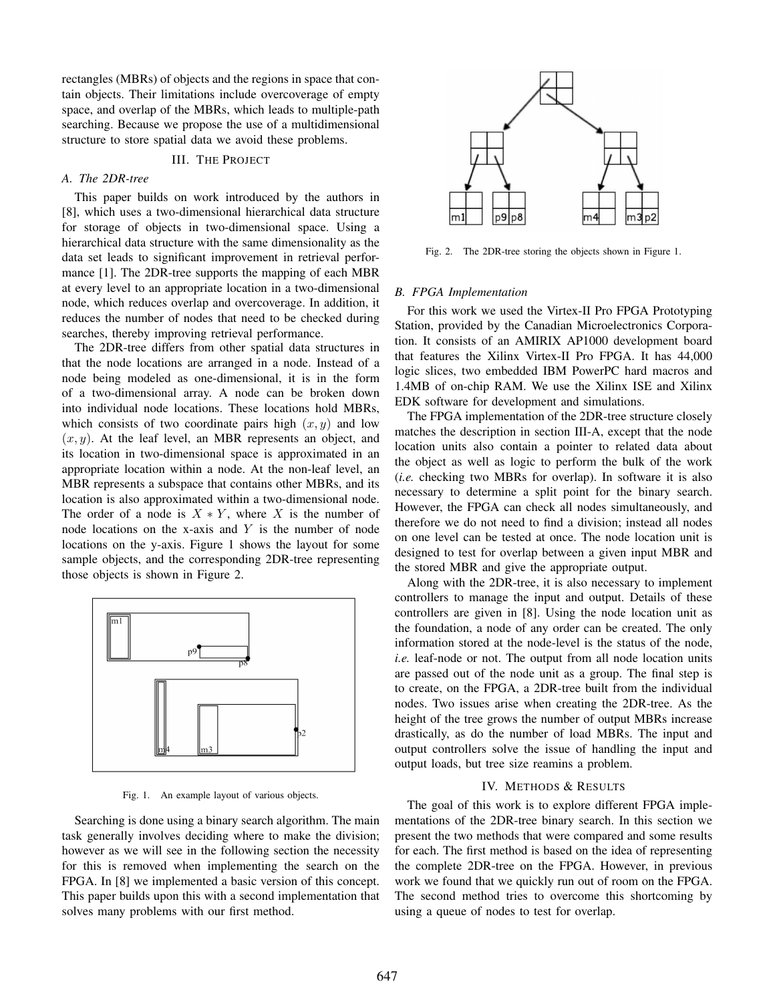rectangles (MBRs) of objects and the regions in space that contain objects. Their limitations include overcoverage of empty space, and overlap of the MBRs, which leads to multiple-path searching. Because we propose the use of a multidimensional structure to store spatial data we avoid these problems.

# III. THE PROJECT

# *A. The 2DR-tree*

This paper builds on work introduced by the authors in [8], which uses a two-dimensional hierarchical data structure for storage of objects in two-dimensional space. Using a hierarchical data structure with the same dimensionality as the data set leads to significant improvement in retrieval performance [1]. The 2DR-tree supports the mapping of each MBR at every level to an appropriate location in a two-dimensional node, which reduces overlap and overcoverage. In addition, it reduces the number of nodes that need to be checked during searches, thereby improving retrieval performance.

The 2DR-tree differs from other spatial data structures in that the node locations are arranged in a node. Instead of a node being modeled as one-dimensional, it is in the form of a two-dimensional array. A node can be broken down into individual node locations. These locations hold MBRs, which consists of two coordinate pairs high  $(x, y)$  and low  $(x, y)$ . At the leaf level, an MBR represents an object, and its location in two-dimensional space is approximated in an appropriate location within a node. At the non-leaf level, an MBR represents a subspace that contains other MBRs, and its location is also approximated within a two-dimensional node. The order of a node is  $X * Y$ , where X is the number of node locations on the x-axis and  $Y$  is the number of node locations on the y-axis. Figure 1 shows the layout for some sample objects, and the corresponding 2DR-tree representing those objects is shown in Figure 2.



Fig. 1. An example layout of various objects.

Searching is done using a binary search algorithm. The main task generally involves deciding where to make the division; however as we will see in the following section the necessity for this is removed when implementing the search on the FPGA. In [8] we implemented a basic version of this concept. This paper builds upon this with a second implementation that solves many problems with our first method.



Fig. 2. The 2DR-tree storing the objects shown in Figure 1.

#### *B. FPGA Implementation*

For this work we used the Virtex-II Pro FPGA Prototyping Station, provided by the Canadian Microelectronics Corporation. It consists of an AMIRIX AP1000 development board that features the Xilinx Virtex-II Pro FPGA. It has 44,000 logic slices, two embedded IBM PowerPC hard macros and 1.4MB of on-chip RAM. We use the Xilinx ISE and Xilinx EDK software for development and simulations.

The FPGA implementation of the 2DR-tree structure closely matches the description in section III-A, except that the node location units also contain a pointer to related data about the object as well as logic to perform the bulk of the work (*i.e.* checking two MBRs for overlap). In software it is also necessary to determine a split point for the binary search. However, the FPGA can check all nodes simultaneously, and therefore we do not need to find a division; instead all nodes on one level can be tested at once. The node location unit is designed to test for overlap between a given input MBR and the stored MBR and give the appropriate output.

Along with the 2DR-tree, it is also necessary to implement controllers to manage the input and output. Details of these controllers are given in [8]. Using the node location unit as the foundation, a node of any order can be created. The only information stored at the node-level is the status of the node, *i.e.* leaf-node or not. The output from all node location units are passed out of the node unit as a group. The final step is to create, on the FPGA, a 2DR-tree built from the individual nodes. Two issues arise when creating the 2DR-tree. As the height of the tree grows the number of output MBRs increase drastically, as do the number of load MBRs. The input and output controllers solve the issue of handling the input and output loads, but tree size reamins a problem.

#### IV. METHODS & RESULTS

The goal of this work is to explore different FPGA implementations of the 2DR-tree binary search. In this section we present the two methods that were compared and some results for each. The first method is based on the idea of representing the complete 2DR-tree on the FPGA. However, in previous work we found that we quickly run out of room on the FPGA. The second method tries to overcome this shortcoming by using a queue of nodes to test for overlap.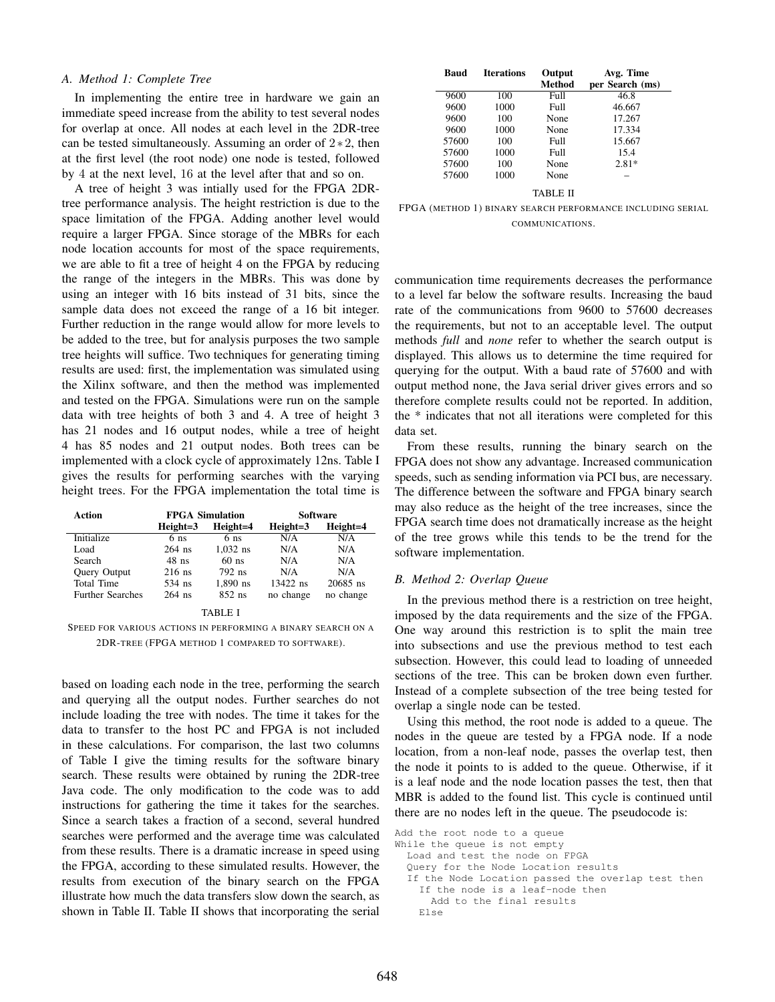#### *A. Method 1: Complete Tree*

In implementing the entire tree in hardware we gain an immediate speed increase from the ability to test several nodes for overlap at once. All nodes at each level in the 2DR-tree can be tested simultaneously. Assuming an order of 2∗2, then at the first level (the root node) one node is tested, followed by 4 at the next level, 16 at the level after that and so on.

A tree of height 3 was intially used for the FPGA 2DRtree performance analysis. The height restriction is due to the space limitation of the FPGA. Adding another level would require a larger FPGA. Since storage of the MBRs for each node location accounts for most of the space requirements, we are able to fit a tree of height 4 on the FPGA by reducing the range of the integers in the MBRs. This was done by using an integer with 16 bits instead of 31 bits, since the sample data does not exceed the range of a 16 bit integer. Further reduction in the range would allow for more levels to be added to the tree, but for analysis purposes the two sample tree heights will suffice. Two techniques for generating timing results are used: first, the implementation was simulated using the Xilinx software, and then the method was implemented and tested on the FPGA. Simulations were run on the sample data with tree heights of both 3 and 4. A tree of height 3 has 21 nodes and 16 output nodes, while a tree of height 4 has 85 nodes and 21 output nodes. Both trees can be implemented with a clock cycle of approximately 12ns. Table I gives the results for performing searches with the varying height trees. For the FPGA implementation the total time is

| <b>Action</b>           | <b>FPGA Simulation</b> |                 | <b>Software</b> |           |
|-------------------------|------------------------|-----------------|-----------------|-----------|
|                         | $Heicht=3$             | Height=4        | $Height=3$      | Height=4  |
| Initialize              | 6 ns                   | 6 <sub>ns</sub> | N/A             | N/A       |
| Load                    | $264$ ns               | $1.032$ ns      | N/A             | N/A       |
| Search                  | $48$ ns                | $60$ ns         | N/A             | N/A       |
| <b>Ouery Output</b>     | $216$ ns               | 792 ns          | N/A             | N/A       |
| Total Time              | 534 ns                 | $1.890$ ns      | $13422$ ns      | 20685 ns  |
| <b>Further Searches</b> | $264$ ns               | $852$ ns        | no change       | no change |
|                         |                        |                 |                 |           |

TABLE I

SPEED FOR VARIOUS ACTIONS IN PERFORMING A BINARY SEARCH ON A 2DR-TREE (FPGA METHOD 1 COMPARED TO SOFTWARE).

based on loading each node in the tree, performing the search and querying all the output nodes. Further searches do not include loading the tree with nodes. The time it takes for the data to transfer to the host PC and FPGA is not included in these calculations. For comparison, the last two columns of Table I give the timing results for the software binary search. These results were obtained by runing the 2DR-tree Java code. The only modification to the code was to add instructions for gathering the time it takes for the searches. Since a search takes a fraction of a second, several hundred searches were performed and the average time was calculated from these results. There is a dramatic increase in speed using the FPGA, according to these simulated results. However, the results from execution of the binary search on the FPGA illustrate how much the data transfers slow down the search, as shown in Table II. Table II shows that incorporating the serial

| Baud  | <b>Iterations</b> | Output<br>Method | Avg. Time<br>per Search (ms) |
|-------|-------------------|------------------|------------------------------|
| 9600  | 100               | Full             | 46.8                         |
| 9600  | 1000              | Full             | 46.667                       |
| 9600  | 100               | None             | 17.267                       |
| 9600  | 1000              | None             | 17.334                       |
| 57600 | 100               | Full             | 15.667                       |
| 57600 | 1000              | Full             | 15.4                         |
| 57600 | 100               | None             | $2.81*$                      |
| 57600 | 1000              | None             |                              |
|       |                   | TABLE II         |                              |

FPGA (METHOD 1) BINARY SEARCH PERFORMANCE INCLUDING SERIAL COMMUNICATIONS.

communication time requirements decreases the performance to a level far below the software results. Increasing the baud rate of the communications from 9600 to 57600 decreases the requirements, but not to an acceptable level. The output methods *full* and *none* refer to whether the search output is displayed. This allows us to determine the time required for querying for the output. With a baud rate of 57600 and with output method none, the Java serial driver gives errors and so therefore complete results could not be reported. In addition, the \* indicates that not all iterations were completed for this data set.

From these results, running the binary search on the FPGA does not show any advantage. Increased communication speeds, such as sending information via PCI bus, are necessary. The difference between the software and FPGA binary search may also reduce as the height of the tree increases, since the FPGA search time does not dramatically increase as the height of the tree grows while this tends to be the trend for the software implementation.

#### *B. Method 2: Overlap Queue*

In the previous method there is a restriction on tree height, imposed by the data requirements and the size of the FPGA. One way around this restriction is to split the main tree into subsections and use the previous method to test each subsection. However, this could lead to loading of unneeded sections of the tree. This can be broken down even further. Instead of a complete subsection of the tree being tested for overlap a single node can be tested.

Using this method, the root node is added to a queue. The nodes in the queue are tested by a FPGA node. If a node location, from a non-leaf node, passes the overlap test, then the node it points to is added to the queue. Otherwise, if it is a leaf node and the node location passes the test, then that MBR is added to the found list. This cycle is continued until there are no nodes left in the queue. The pseudocode is:

```
Add the root node to a queue
While the queue is not empty
  Load and test the node on FPGA
  Query for the Node Location results
  If the Node Location passed the overlap test then
    If the node is a leaf-node then
      Add to the final results
    Else
```